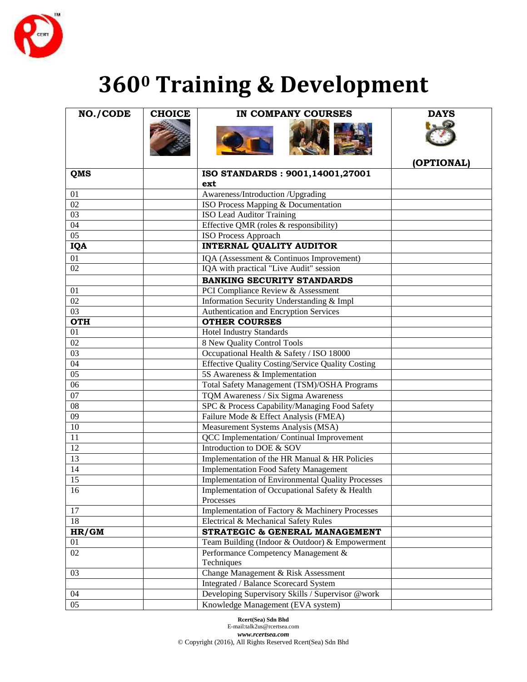

## **<sup>0</sup> Training & Development**

| <b>NO./CODE</b> | <b>CHOICE</b> | IN COMPANY COURSES                                       | <b>DAYS</b> |
|-----------------|---------------|----------------------------------------------------------|-------------|
|                 |               |                                                          |             |
|                 |               |                                                          | (OPTIONAL)  |
| QMS             |               | ISO STANDARDS: 9001,14001,27001                          |             |
|                 |               | ext                                                      |             |
| 01              |               | Awareness/Introduction /Upgrading                        |             |
| $\overline{02}$ |               | ISO Process Mapping & Documentation                      |             |
| $\overline{03}$ |               | <b>ISO Lead Auditor Training</b>                         |             |
| $\overline{04}$ |               | Effective QMR (roles & responsibility)                   |             |
| 0 <sub>5</sub>  |               | ISO Process Approach                                     |             |
| <b>IQA</b>      |               | <b>INTERNAL QUALITY AUDITOR</b>                          |             |
| 01              |               | IQA (Assessment & Continuos Improvement)                 |             |
| $\overline{02}$ |               | IQA with practical "Live Audit" session                  |             |
|                 |               | <b>BANKING SECURITY STANDARDS</b>                        |             |
| 01              |               | PCI Compliance Review & Assessment                       |             |
| 02              |               | Information Security Understanding & Impl                |             |
| 03              |               | Authentication and Encryption Services                   |             |
| <b>OTH</b>      |               | <b>OTHER COURSES</b>                                     |             |
| 01              |               | <b>Hotel Industry Standards</b>                          |             |
| 02              |               | 8 New Quality Control Tools                              |             |
| $\overline{03}$ |               | Occupational Health & Safety / ISO 18000                 |             |
| 04              |               | Effective Quality Costing/Service Quality Costing        |             |
| 05              |               | 5S Awareness & Implementation                            |             |
| 06              |               | Total Safety Management (TSM)/OSHA Programs              |             |
| $\overline{07}$ |               | TQM Awareness / Six Sigma Awareness                      |             |
| 08              |               | SPC & Process Capability/Managing Food Safety            |             |
| 09              |               | Failure Mode & Effect Analysis (FMEA)                    |             |
| 10              |               | Measurement Systems Analysis (MSA)                       |             |
| 11              |               | QCC Implementation/ Continual Improvement                |             |
| 12              |               | Introduction to DOE & SOV                                |             |
| $\overline{13}$ |               | Implementation of the HR Manual & HR Policies            |             |
| 14              |               | <b>Implementation Food Safety Management</b>             |             |
| 15              |               | <b>Implementation of Environmental Quality Processes</b> |             |
| $\overline{16}$ |               | Implementation of Occupational Safety & Health           |             |
|                 |               | Processes                                                |             |
| 17              |               | Implementation of Factory & Machinery Processes          |             |
| 18              |               | Electrical & Mechanical Safety Rules                     |             |
| HR/GM           |               | STRATEGIC & GENERAL MANAGEMENT                           |             |
| 01              |               | Team Building (Indoor & Outdoor) & Empowerment           |             |
| 02              |               | Performance Competency Management &                      |             |
|                 |               | Techniques                                               |             |
| 03              |               | Change Management & Risk Assessment                      |             |
|                 |               | Integrated / Balance Scorecard System                    |             |
| 04              |               | Developing Supervisory Skills / Supervisor @work         |             |
| $\overline{05}$ |               | Knowledge Management (EVA system)                        |             |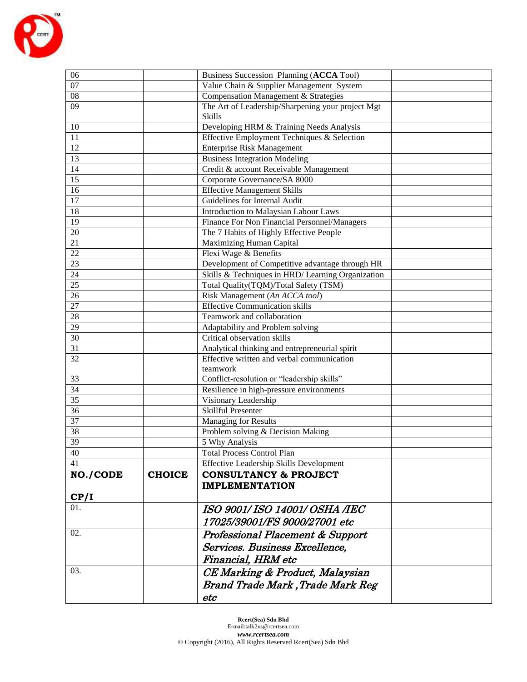

| 06              |               | Business Succession Planning (ACCA Tool)          |  |  |
|-----------------|---------------|---------------------------------------------------|--|--|
| 07              |               | Value Chain & Supplier Management System          |  |  |
| 08              |               | Compensation Management & Strategies              |  |  |
| 09              |               | The Art of Leadership/Sharpening your project Mgt |  |  |
|                 |               | <b>Skills</b>                                     |  |  |
| 10              |               | Developing HRM & Training Needs Analysis          |  |  |
| 11              |               | Effective Employment Techniques & Selection       |  |  |
| 12              |               | <b>Enterprise Risk Management</b>                 |  |  |
| 13              |               | <b>Business Integration Modeling</b>              |  |  |
| 14              |               | Credit & account Receivable Management            |  |  |
| 15              |               | Corporate Governance/SA 8000                      |  |  |
| $\overline{16}$ |               | <b>Effective Management Skills</b>                |  |  |
| 17              |               | Guidelines for Internal Audit                     |  |  |
| 18              |               | Introduction to Malaysian Labour Laws             |  |  |
| $\overline{19}$ |               | Finance For Non Financial Personnel/Managers      |  |  |
| 20              |               | The 7 Habits of Highly Effective People           |  |  |
| 21              |               | Maximizing Human Capital                          |  |  |
| $\overline{22}$ |               | Flexi Wage & Benefits                             |  |  |
| 23              |               | Development of Competitive advantage through HR   |  |  |
| 24              |               | Skills & Techniques in HRD/ Learning Organization |  |  |
| $\overline{25}$ |               | Total Quality(TQM)/Total Safety (TSM)             |  |  |
| $\overline{26}$ |               | Risk Management (An ACCA tool)                    |  |  |
| 27              |               | <b>Effective Communication skills</b>             |  |  |
| 28              |               | Teamwork and collaboration                        |  |  |
| 29              |               | Adaptability and Problem solving                  |  |  |
| 30              |               | Critical observation skills                       |  |  |
| 31              |               | Analytical thinking and entrepreneurial spirit    |  |  |
| $\overline{32}$ |               | Effective written and verbal communication        |  |  |
|                 |               | teamwork                                          |  |  |
| 33              |               | Conflict-resolution or "leadership skills"        |  |  |
| 34              |               | Resilience in high-pressure environments          |  |  |
| $\overline{35}$ |               | Visionary Leadership                              |  |  |
| $\overline{36}$ |               | <b>Skillful Presenter</b>                         |  |  |
| 37              |               | <b>Managing for Results</b>                       |  |  |
| $\overline{38}$ |               | Problem solving & Decision Making                 |  |  |
| 39              |               | 5 Why Analysis                                    |  |  |
| 40              |               | <b>Total Process Control Plan</b>                 |  |  |
| 41              |               | Effective Leadership Skills Development           |  |  |
| <b>NO./CODE</b> | <b>CHOICE</b> | <b>CONSULTANCY &amp; PROJECT</b>                  |  |  |
|                 |               | <b>IMPLEMENTATION</b>                             |  |  |
| CP/I            |               |                                                   |  |  |
| 01.             |               | ISO 9001/ ISO 14001/ OSHA /IEC                    |  |  |
|                 |               |                                                   |  |  |
|                 |               | 17025/39001/FS 9000/27001 etc                     |  |  |
| 02.             |               | Professional Placement & Support                  |  |  |
|                 |               | Services. Business Excellence,                    |  |  |
|                 |               | Financial, HRM etc                                |  |  |
| 03.             |               | CE Marking & Product, Malaysian                   |  |  |
|                 |               |                                                   |  |  |
|                 |               | <b>Brand Trade Mark , Trade Mark Reg</b>          |  |  |
|                 |               | etc                                               |  |  |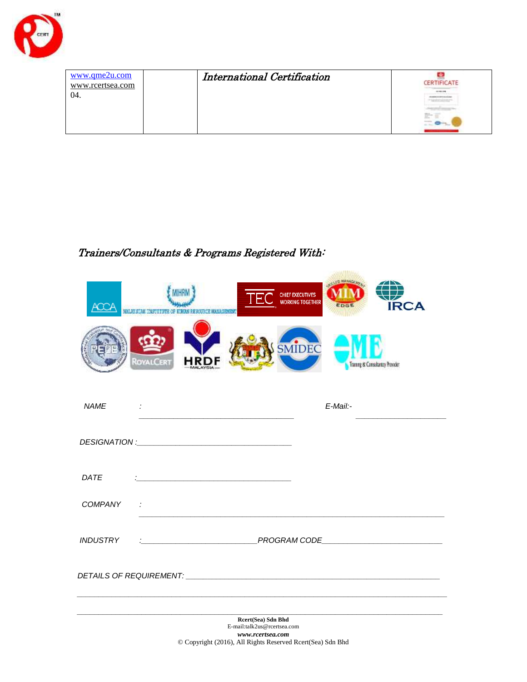

| www.qme2u.com<br>www.rcertsea.com<br>04. | <b>International Certification</b> | CERTIFICATE<br>武下軍 |
|------------------------------------------|------------------------------------|--------------------|
|------------------------------------------|------------------------------------|--------------------|

## Trainers/Consultants & Programs Registered With:

|             | <b>ULLAY STAK THROTTUPE OF</b><br><b>DESCRIPCE HANAGEMENT</b>                                                                       | <b>CHIEF EXECUTIVES</b><br><b>WORKING TOGETHER</b><br><b>IRCA</b> |
|-------------|-------------------------------------------------------------------------------------------------------------------------------------|-------------------------------------------------------------------|
|             | <b>JOYALCERT</b>                                                                                                                    | SMIDEC<br>Tranny & Consultantry Provider                          |
| <b>NAME</b> | $\sim 10^{11}$ m $^{-1}$                                                                                                            | E-Mail:-                                                          |
|             |                                                                                                                                     |                                                                   |
| DATE        | <u> 1980 - Jan James James Barbara, politik eta idazlea (</u>                                                                       |                                                                   |
| COMPANY     | $\sim 10^6$                                                                                                                         |                                                                   |
| INDUSTRY    |                                                                                                                                     |                                                                   |
|             |                                                                                                                                     |                                                                   |
|             | Rcert(Sea) Sdn Bhd<br>E-mail:talk2us@rcertsea.com<br>www.rcertsea.com<br>© Copyright (2016), All Rights Reserved Rcert(Sea) Sdn Bhd |                                                                   |